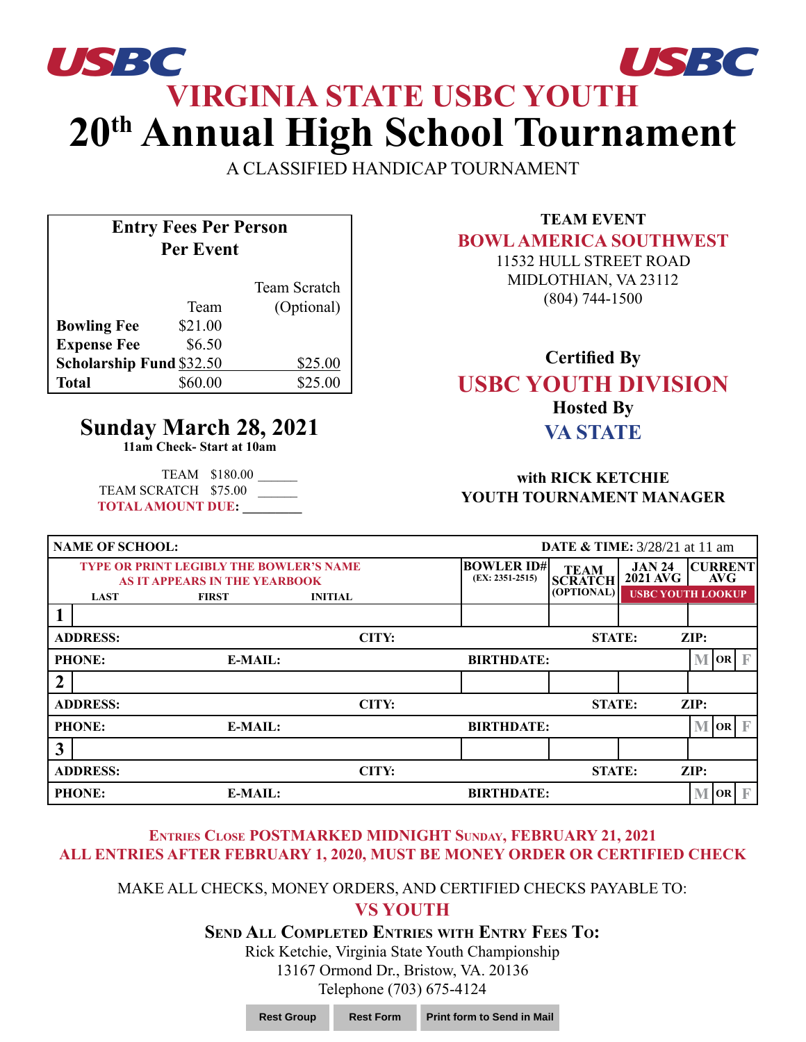# **VIRGINIA STATE USBC YOUTH 20th Annual High School Tournament** *USBC USBC*

A CLASSIFIED HANDICAP TOURNAMENT

# **Entry Fees Per Person Per Event**

|                          |         | Team Scratch |
|--------------------------|---------|--------------|
|                          | Team    | (Optional)   |
| <b>Bowling Fee</b>       | \$21.00 |              |
| <b>Expense Fee</b>       | \$6.50  |              |
| Scholarship Fund \$32.50 |         | \$25.00      |
| <b>Total</b>             | \$60.00 | \$25.00      |

# **Sunday March 28, 2021**

**11am Check- Start at 10am**

TEAM \$180.00 \_\_\_\_\_\_ TEAM SCRATCH \$75.00 **TOTAL AMOUNT DUE: \_\_\_\_\_\_\_\_\_**

## **TEAM EVENT BOWL AMERICA SOUTHWEST**

11532 HULL STREET ROAD MIDLOTHIAN, VA 23112 (804) 744-1500

## **Certified By USBC YOUTH DIVISION Hosted By VA STATE**

#### **with RICK KETCHIE YOUTH TOURNAMENT MANAGER**

| <b>NAME OF SCHOOL:</b> |                 |                                                                                        |                |                                        | <b>DATE &amp; TIME:</b> 3/28/21 at 11 am |                                    |                                      |  |
|------------------------|-----------------|----------------------------------------------------------------------------------------|----------------|----------------------------------------|------------------------------------------|------------------------------------|--------------------------------------|--|
|                        |                 | <b>TYPE OR PRINT LEGIBLY THE BOWLER'S NAME</b><br><b>AS IT APPEARS IN THE YEARBOOK</b> |                | <b>BOWLER ID#</b><br>$(EX: 2351-2515)$ | <b>TEAM</b><br><b>SCRATCH</b>            | <b>JAN 24</b><br>$2021$ $\rm{AVG}$ | <b>CURRENT</b><br>AVG                |  |
|                        | <b>LAST</b>     | <b>FIRST</b>                                                                           | <b>INITIAL</b> |                                        | (OPTIONAL)                               |                                    | <b>USBC YOUTH LOOKUP</b>             |  |
|                        |                 |                                                                                        |                |                                        |                                          |                                    |                                      |  |
|                        | <b>ADDRESS:</b> |                                                                                        | CITY:          |                                        | <b>STATE:</b>                            |                                    | ZIP:                                 |  |
|                        | <b>PHONE:</b>   | E-MAIL:                                                                                |                | <b>BIRTHDATE:</b>                      |                                          |                                    | M<br>$\overline{OR}$ $\overline{F}$  |  |
| $\boldsymbol{2}$       |                 |                                                                                        |                |                                        |                                          |                                    |                                      |  |
|                        | <b>ADDRESS:</b> |                                                                                        | CITY:          |                                        | <b>STATE:</b>                            |                                    | $\mathbf{ZIP:}$                      |  |
|                        | <b>PHONE:</b>   | E-MAIL:                                                                                |                | <b>BIRTHDATE:</b>                      |                                          |                                    | M<br>$\overline{OR}$ $\overline{F}$  |  |
| $\mathbf{3}$           |                 |                                                                                        |                |                                        |                                          |                                    |                                      |  |
|                        | <b>ADDRESS:</b> |                                                                                        | CITY:          |                                        | <b>STATE:</b>                            |                                    | ZIP:                                 |  |
|                        | <b>PHONE:</b>   | E-MAIL:                                                                                |                | <b>BIRTHDATE:</b>                      |                                          |                                    | $\mathbb F$<br>N <sub>1</sub><br> OR |  |

#### **Entries Close POSTMARKED MIDNIGHT Sunday, FEBRUARY 21, 2021 ALL ENTRIES AFTER FEBRUARY 1, 2020, MUST BE MONEY ORDER OR CERTIFIED CHECK**

#### MAKE ALL CHECKS, MONEY ORDERS, AND CERTIFIED CHECKS PAYABLE TO: **VS YOUTH**

#### **Send All Completed Entries with Entry Fees To:**

Rick Ketchie, Virginia State Youth Championship 13167 Ormond Dr., Bristow, VA. 20136 Telephone (703) 675-4124